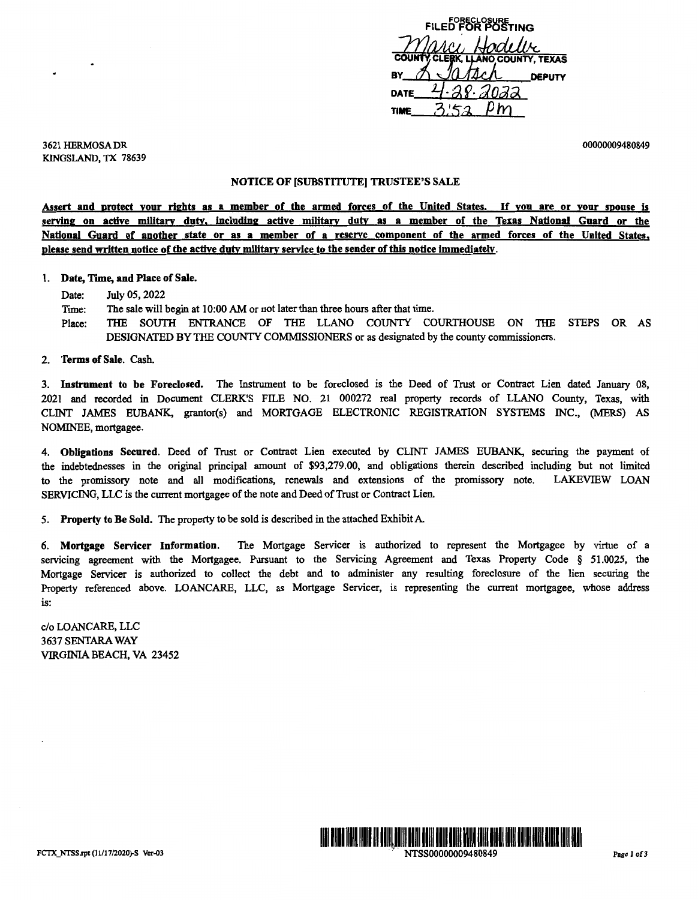COUNTY CLERK, LAND COUNTY, TEXAS<br>SY A JOALCA DEPUTY **BY ACT HOOLUME**<br>
COUNTY CLERK, LLANO COUNTY, TEXAS<br>
BY A JOJACA DEPUTY DATE 4.28.2022 ti**me\_** 3,'5a\_Pm

3621 HERMOSA DR KINGSLAND, TX 78639 00000009480849

## NOTICE OF [SUBSTITUTE] TRUSTEE'S SALE

Assert and protect your rights as a member of the armed forces of the United States. If you are or your spouse is **serving on active military duty. including active military duty as a member of the Texas National Guard or the National Guard of another state or as a member of a reserve component of the armed forces of the United States, please send written notice of the active duty military service to the sender of this notice immediately.** 

## 1. **Date, Time, and Place of Sale.**

Date: July 05, 2022

Time: The sale will begin at 10:00 AM or not later than three hours after that time.

Place: THE SOUTH ENTRANCE OF THE LLANO COUNTY COURTHOUSE ON THE STEPS OR AS DESIGNATED BY THE COUNTY COMMISSIONERS or as designated by the county commissioners.

2. **Terms of Sale.** Cash.

3. **Instrument to be Foreclosed.** The Instrument to be foreclosed is the Deed of Trust or Contract Lien dated January 08, 2021 and recorded in Document CLERK'S FILE NO. 21 000272 real property records of LLANO County, Texas, with CLINT JAMES EUBANK, grantor(s) and MORTGAGE ELECTRONIC REGISTRATION SYSTEMS INC., (MERS) AS NOMINEE, mortgagee.

4. **Obligations Secured.** Deed of Trust or Contract Lien executed by CLINT JAMES EUBANK, securing the payment of the indebtednesses in the original principal amount of \$93,279.00, and obligations therein described including but not limited to the promissory note and all modifications, renewals and extensions of the promissory note. LAKEVIEW LOAN SERVICING, LLC is the current mortgagee of the note and Deed of Trust or Contract Lien.

*5.* **Property to Be Sold.** The property to be sold is described in the attached Exhibit A

6. **Mortgage Servicer Information.** The Mortgage Servicer is authorized to represent the Mortgagee by virtue of a servicing agreement with the Mortgagee. Pursuant to the Servicing Agreement and Texas Property Code § 51.0025, the Mortgage Servicer is authorized to collect the debt and to administer any resulting foreclosure of the lien securing the Property referenced above. LOANCARE, LLC, as Mortgage Servicer, is representing the current mortgagee, whose address is:

c/o LOANCARE, LLC 3637 SENTARA WAY VIRGINIA BEACH, VA 23452

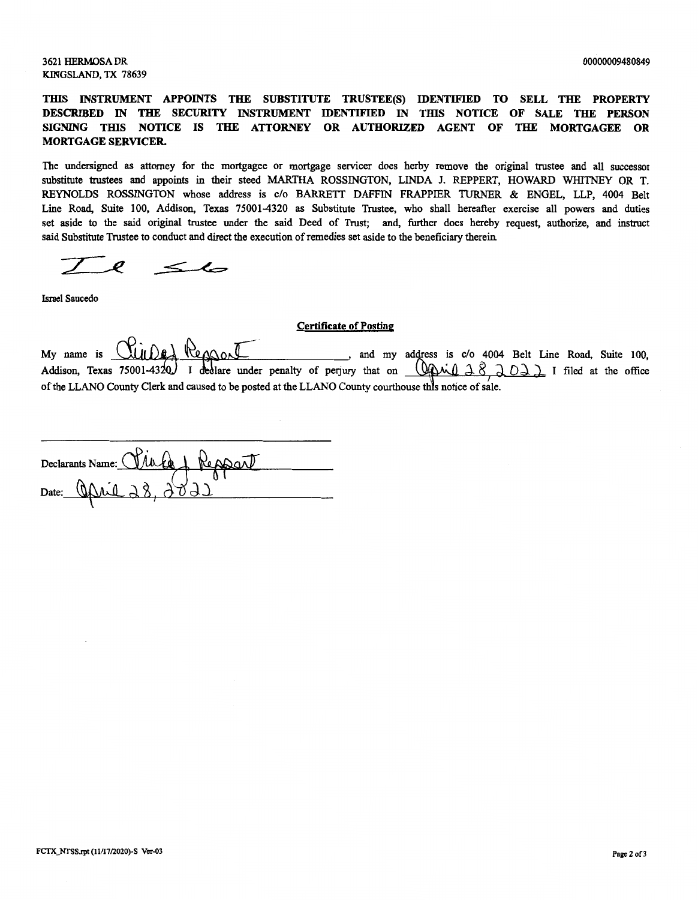3621 HERMOSA DR KINGSLAND, TX 78639

**THIS INSTRUMENT APPOINTS THE SUBSTITUTE TRUSTEE(S)** IDENTIFIED **TO SELL THE PROPERTY DESCRIBED** IN **THE SECURITY INSTRUMENT** IDENTIFIED IN **TIDS NOTICE OF SALE** THE **PERSON SIGNING TIDS NOTICE IS** THE **ATTORNEY OR AUTHORIZED AGENT** OF THE **MORTGAGEE OR MORTGAGE SERVICER.** 

The undersigned as attorney for the mortgagee or mortgage servicer does herby remove the original trustee and all successor substitute trustees and appoints in their steed MARTHA ROSSINGTON, LINDA J. REPPERT, HOWARD WHITNEY OR T. REYNOLDS ROSSINGTON whose address is c/o BARRETT DAFFIN FRAPPIER TURNER & ENGEL, LLP, 4004 Belt Line Road, Suite 100, Addison, Texas 75001-4320 as Substitute Trustee, who shall hereafter exercise all powers and duties set aside to the said original trustee under the said Deed of Trust; and, further does hereby request, authorize, and instruct said Substitute Trustee to conduct and direct the execution of remedies set aside to the beneficiary therein

 $\leq$ 

Israel Saucedo

## Certificate of **Posting**

Certificate of Posting<br>My name is  $\bigcup_{\alpha} \bigcup_{\beta} \bigcup_{\beta} \bigcup_{\beta}$  ( $\bigcup_{\beta} \bigcup_{\beta}$  ( $\bigcup_{\beta} \bigcup_{\beta}$  )  $\bigcup_{\beta}$  ( $\bigcup_{\beta} \bigcup_{\beta}$  ) and my address is c/o 4004 Belt Line Road, Suite 100, My name is **CUIDE** Repport and my address is c/o 4004 Belt Line Road, Suite 100,<br>Addison, Texas 75001-4320. I declare under penalty of perjury that on <u>CAMIA8, ROAR</u> I filed at the office of the LLANO County Clerk and caused to be posted at the LLANO County courthouse this notice of sale.

Declarants Name: <u>Clie Le & Repport</u>